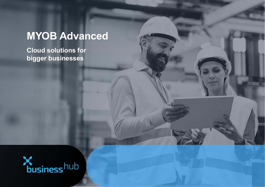# **MYOB Advanced**

**Cloud solutions for bigger businesses**

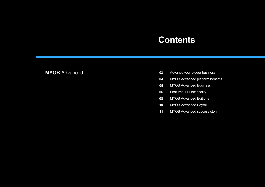### **Contents**

### **MYOB** Advanced

- Advance your bigger business 03
- 04 MYOB Advanced platform benefits
- MYOB Advanced Business 05
- 06 Features + Functionality
- 08 MYOB Advanced Editions
- MYOB Advanced Payroll **10**
- MYOB Advanced success story **11**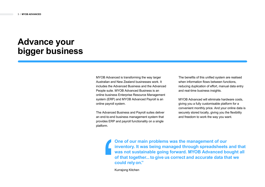### **Advance your bigger business**

MYOB Advanced is transforming the way larger Australian and New Zealand businesses work. It includes the Advanced Business and the Advanced People suite. MYOB Advanced Business is an online business Enterprise Resource Management system (ERP) and MYOB Advanced Payroll is an online payroll system.

The Advanced Business and Payroll suites deliver an end-to-end business management system that provides ERP and payroll functionality on a single platform.

The benefits of this unified system are realised when information flows between functions. reducing duplication of effort, manual data entry and real-time business insights.

MYOB Advanced will eliminate hardware costs, giving you a fully customisable platform for a convenient monthly price. And your online data is securely stored locally, giving you the flexibility and freedom to work the way you want.

**One of our main problems was the management of our inventory. It was being managed through spreadsheets and that was not sustainable going forward. MYOB Advanced bought all of that together...to give us correct and accurate data that we could relyon."** 

Kurrajong Kitchen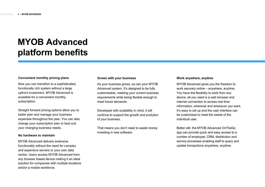## **MYOB Advanced platform benefits**

#### **Convenient monthly pricing plans**

Now you can transition to a sophisticated, functionally rich system without a large upfront investment. MYOB Advanced is available for a convenient monthly subscription.

Straight forward pricing options allow you to better plan and manage your business expenses throughout the year. You can also change your subscription plan to best suit your changing business needs.

#### **No hardware to maintain**

MYOB Advanced delivers extensive functionality without the need for complex and expensive servers or your own data centre. Users access MYOB Advanced from any browser based device making it an ideal solution for companies with multiple locations and/or a mobile workforce.

#### **Grows with your business**

As your business grows, so can your MYOB Advanced system. It's designed to be fully customisable, meeting your current business requirements while being flexible enough to meet future demands.

Developed with scalability in mind, it will continue to support the growth and evolution of your business.

That means you don't need to waste money investing in new software.

#### **Work anywhere, anytime**

MYOB Advanced gives you the freedom to work securely online – anywhere, anytime. You have the flexibility to work from any device, all you need is a web browser and internet connection to access real time information, wherever and whenever you want. It's easy to set up and the user interface can be customised to meet the needs of the individual user.

Better still, the MYOB Advanced OnTheGo app can provide quick and easy access to a number of employee, CRM, distribution and service processes enabling staff to query and update transactions anywhere, anytime.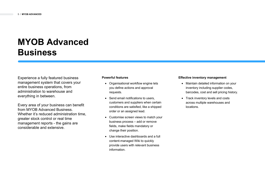## **MYOB Advanced Business**

Experience a fully featured business management system that covers your entire business operations, from administration to warehouse and everything in between.

Every area of your business can benefit from MYOB Advanced Business. Whether it's reduced administration time, greater stock control or real time management reports - the gains are considerable and extensive.

#### **Powerful features**

- Organisational workflow engine lets you define actions and approval requests.
- Send email notifications to users. customers and suppliers when certain conditions are satisfied, like a shipped order or an assigned lead.
- Customise screen views to match your business process – add or remove fields, make fields mandatory or change their position.
- Use interactive dashboards and a full content-managed Wiki to quickly provide users with relevant business information.

#### **Effective inventory management**

- Maintain detailed information on your inventory including supplier codes, barcodes, cost and sell pricing history.
- Track inventory levels and costs across multiple warehouses and locations.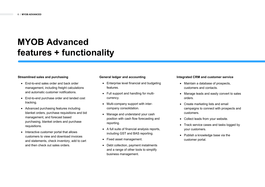### **MYOB Advanced features + functionality**

#### **Streamlined sales and purchasing**

- End-to-end sales order and back order management, including freight calculations and automatic customer notifications.
- End-to-end purchase order and landed cost tracking.
- Advanced purchasing features including blanket orders, purchase requisitions and bid management, and forecast based purchasing, blanket orders and purchase requisitions.
- Interactive customer portal that allows customers to view and download invoices and statements, check inventory, add to cart and then check out sales orders.

#### **General ledger and accounting**

- Enterprise level financial and budgeting features.
- Full support and handling for multicurrency.
- Multi-company support with intercompany consolidation.
- Manage and understand your cash position with cash flow forecasting and reporting.
- A full suite of financial analysis reports, including GST and BAS reporting.
- Fixed asset management.
- Debt collection, payment instalments and a range of other tools to simplify business management.

#### **Integrated CRM and customer service**

- Maintain a database of prospects, customers and contacts.
- Manage leads and easily convert to sales orders.
- Create marketing lists and email campaigns to connect with prospects and customers.
- Collect leads from your website.
- Track service cases and tasks logged by your customers.
- Publish a knowledge base via the customer portal.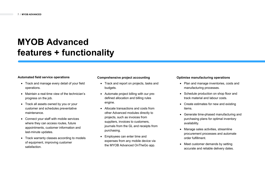### **MYOB Advanced features + functionality**

#### **Automated field service operations**

- Track and manage every detail of your field operations.
- Maintain a real-time view of the technician's progress on the job.
- Track all assets owned by you or your customer and schedules preventative maintenance.
- Connect your staff with mobile services where they can access routes, future appointments, customer information and last-minute updates.
- Track warranty classes according to models of equipment, improving customer satisfaction.

#### **Comprehensive project accounting**

- Track and report on projects, tasks and budgets.
- Automate project billing with our predefined allocation and billing rules engine.
- Allocate transactions and costs from other Advanced modules directly to projects, such as invoices from suppliers, invoices to customers, journals from the GL and receipts from purchasing.
- Employees can enter time and expenses from any mobile device via the MYOB Advanced OnTheGo app.

#### **Optimise manufacturing operations**

- Plan and manage inventories, costs and manufacturing processes.
- Schedule production on shop floor and track material and labour costs.
- Create estimates for new and existing items.
- Generate time-phased manufacturing and purchasing plans for optimal inventory availability.
- Manage sales activities, streamline procurement processes and automate order fulfillment.
- Meet customer demands by setting accurate and reliable delivery dates.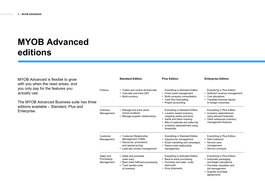## **MYOB Advanced editions**

MYOB Advanced is flexible to grow with you when the need arises, and you only pay for the features you actually use.

The MYOB Advanced Business suite has three editions available – Standard, Plus and Enterprise.

|                                       | <b>Standard Edition</b>                                                                                                        | <b>Plus Edition</b>                                                                                                                                                                                          | <b>Enterprise Edition</b>                                                                                                                                            |
|---------------------------------------|--------------------------------------------------------------------------------------------------------------------------------|--------------------------------------------------------------------------------------------------------------------------------------------------------------------------------------------------------------|----------------------------------------------------------------------------------------------------------------------------------------------------------------------|
| Finance                               | • Collect and control all financials<br>Calculate and track GST<br>Multi-currency                                              | Everything in Standard Edition<br>• Fixed asset management<br>• Multi-company consolidation<br>• Cash flow forecasting<br>• Project accounting                                                               | Everything in Plus Edition<br>Deferred revenue management<br>٠<br>• Cost allocations<br>Translate financial reports<br>to foreign currencies                         |
| Inventory<br>Management               | Manage and track stock,<br>across locations<br>• Manage supplier relationships                                                 | Everything in Standard Edition<br>• Location based inventory<br>mapping (aisles and bins)<br>• Serial and batch tracking<br>Bills of materials and sales kits<br>Inventory replenishment using<br>thresholds | Everything in Plus Edition<br>Inventory replenishment<br>using demand forecasts<br>• Other enterprise inventory<br>management features                               |
| Customer<br>Management                | • Customer Relationship<br>Management (CRM)<br>• Discounts, promotions<br>and special pricing<br>• Lead and contact management | Everything in Standard Edition<br>• Opportunity management<br>• Email marketing and campaigns<br>• Parent-child relationship<br>management                                                                   | Everything in Plus Edition<br>• Debt collection<br>• Service case<br>management<br>• Service contracts                                                               |
| Sales and<br>Purchasing<br>Management | • Sales and purchase<br>order entry<br>• Back order fulfilment processing<br>• Track landed costs<br>of inventory              | Everything in Standard Edition<br>• Back-to-back purchasing<br>• Purchase and sales order<br>approvals<br>• Drop shipments                                                                                   | Everything in Plus Edition<br>• Automatic packaging<br>and freight calculations<br>• Purchase requisition and<br>bid management<br>• Supplier purchase<br>agreements |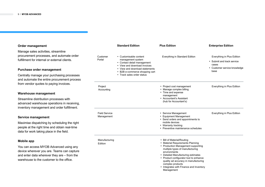#### **Order management**

Manage sales activities, streamline procurement processes, and automate order fulfillment for internal or external clients.

#### **Purchase order management**

Centrally manage your purchasing processes and automate the entire procurement process from vendor quotes to paying invoices.

#### **Warehouse management**

Streamline distribution processes with advanced warehouse operations in receiving, inventory management and order fulfillment.

#### **Service management**

Maximise dispatching by scheduling the right people at the right time and obtain real-time data for work taking place in the field.

#### **Mobile app**

You can access MYOB Advanced using any device wherever you are. Teams can capture and enter data wherever they are – from the warehouse to the customer to the office.

|                                    | <b>Standard Edition</b>                                                                                                                                                                                      | <b>Plus Edition</b>                                                                                                                                                                                                                                                                                                                                          | <b>Enterprise Edition</b>                                                                                 |
|------------------------------------|--------------------------------------------------------------------------------------------------------------------------------------------------------------------------------------------------------------|--------------------------------------------------------------------------------------------------------------------------------------------------------------------------------------------------------------------------------------------------------------------------------------------------------------------------------------------------------------|-----------------------------------------------------------------------------------------------------------|
| Customer<br>Portal                 | • Customisable content<br>management system<br>• Contact detail management<br>• View and download invoices<br>• View and download statements<br>• B2B e-commerce shopping cart<br>• Track sales order status | Everything in Standard Edition                                                                                                                                                                                                                                                                                                                               | Everything in Plus Edition<br>• Submit and track service<br>cases<br>• Customer service knowledge<br>base |
| Project<br>Accounting              |                                                                                                                                                                                                              | • Project cost management<br>• Manage complex billing<br>• Time and expense<br>management<br>• Accountant's Assistant<br>(hub for Accountant's)                                                                                                                                                                                                              | Everything in Plus Edition                                                                                |
| <b>Field Service</b><br>Management |                                                                                                                                                                                                              | • Service Management<br>• Equipment Management<br>• Send orders and appointments to<br>mobile devices<br>• Warranty tracking<br>• Preventive maintenance schedules                                                                                                                                                                                           | Everything in Plus Edition                                                                                |
| Manufacturing<br>Edition           |                                                                                                                                                                                                              | • Bill of Material/Routing<br>• Material Requirements Planning<br>• Production Management supporting<br>multiple types of manufacturing<br>environments<br>• Detailed Manufacturing estimates<br>• Product configurator tool to enhance<br>quality ad accuracy in manufacturing<br>complex products<br>• Integrates with Finance and Inventory<br>Management |                                                                                                           |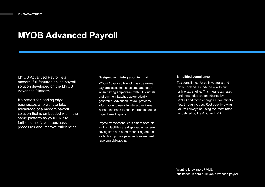### **MYOB Advanced Payroll**

MYOB Advanced Payroll is a modern, full featured online payroll solution developed on the MYOB Advanced Platform.

It's perfect for leading edge businesses who want to take advantage of a modern payroll solution that is embedded within the same platform as your ERP to further simplify your business processes and improve efficiencies.

#### **Designed with integration in mind**

MYOB Advanced Payroll has streamlined pay processes that save time and effort when paying employees, with GL journals and payment batches automatically generated. Advanced Payroll provides information to users in interactive forms without the need to print information out to paper based reports.

Payroll transactions, entitlement accruals and tax liabilities are displayed on-screen, saving time and effort reconciling amounts for both employee pays and government reporting obligations.

#### **Simplified compliance**

Tax compliance for both Australia and New Zealand is made easy with our online tax engine. This means tax rates and thresholds are maintained by MYOB and these changes automatically flow through to you. Rest easy knowing you will always be using the latest rates as defined by the ATO and IRD.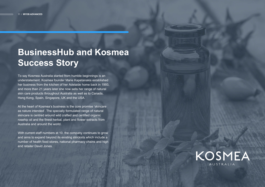### **BusinessHub and Kosmea Success Story**

To say Kosmea Australia started from humble beginnings is an understatement. Kosmea founder Marie Kapetanakis established her business from the kitchen of her Adelaide home back in 1993, and more than 21 years later she now sells her range of natural skin care products throughout Australia as well as to Canada, Hong Kong, Spain, Singapore, UK and the USA.

At the heart of Kosmea's business is the core promise 'skincare as nature intended'. The specially formulated range of natural skincare is centred around wild crafted and certified organic rosehip oil and the finest herbal, plant and flower extracts from Australia and around the world.

With current staff numbers at 10, the company continues to grow and aims to expand beyond its existing stockists which include a number of health food stores, national pharmacy chains and high end retailer David Jones.

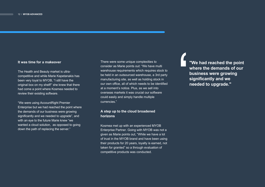#### **It was time for a makeover**

The Health and Beauty market is ultracompetitive and while Marie Kapetanakis has been very loyal to MYOB, "I still have the original box on my shelf!" she knew that there had come a point where Kosmea needed to review their existing software.

"We were using AccountRight Premier Enterprise but we had reached the point where the demands of our business were growing significantly and we needed to upgrade", and with an eye to the future Marie knew "we wanted a cloud solution, as opposed to going down the path of replacing the server."

There were some unique complexities to consider as Marie points out: "We have multi warehouse requirements which requires stock to be held in an outsourced warehouse, a 3rd party manufacturing site, as well as holding stock in our own office, all of which needs to be identified at a moment's notice. Plus, as we sell into overseas markets it was crucial our software could easily and simply handle multiple currencies."

#### **A step up to the cloud broadened horizons**

Kosmea met up with an experienced MYOB Enterprise Partner. Going with MYOB was not a given as Marie points out, "While we have a lot of trust in the MYOB brand and have been using their products for 20 years, loyalty is earned, not taken for granted" so a through evaluation of competitive products was conducted.

**"We had reached the point where the demands of our business were growing significantly and we needed to upgrade."**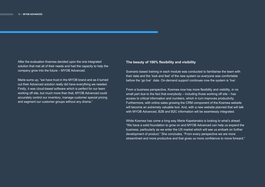After the evaluation Kosmea decided upon the one integrated solution that met all of their needs and had the capacity to help the company grow into the future – MYOB Advanced.

Marie sums up, "we have trust in the MYOB brand and as it turned out their Advanced solution really did have everything we needed. Firstly, it was cloud-based software which is perfect for our team working off site, but much more than that, MYOB Advanced could accurately control our inventory, manage customer special pricing and segment our customer groups without any drama."

#### **The beauty of 100% flexibility and visibility**

Scenario based training in each module was conducted to familiarise the team with their data and the 'look and feel' of the new system so everyone was comfortable before the 'go live' date. On-demand support continues now the system is 'live'.

From a business perspective, Kosmea now has more flexibility and visibility, in no small part due to the fact that everybody – including those working off site – has access to critical information and numbers, which in turn improves productivity. Furthermore, with online sales growing the CRM component of the Kosmea website will become an extremely valuable tool. And, with a new website planned that will talk with MYOB Advanced, B2B and B2C information will be seamlessly integrated.

While Kosmea has come a long way Marie Kapetanakis is looking to what's ahead: "We have a solid foundation to grow on and MYOB Advanced can help us expand the business, particularly as we enter the US market which will see us embark on further development of product." She concludes, "From every perspective we are more streamlined and more productive and that gives us more confidence to move forward."